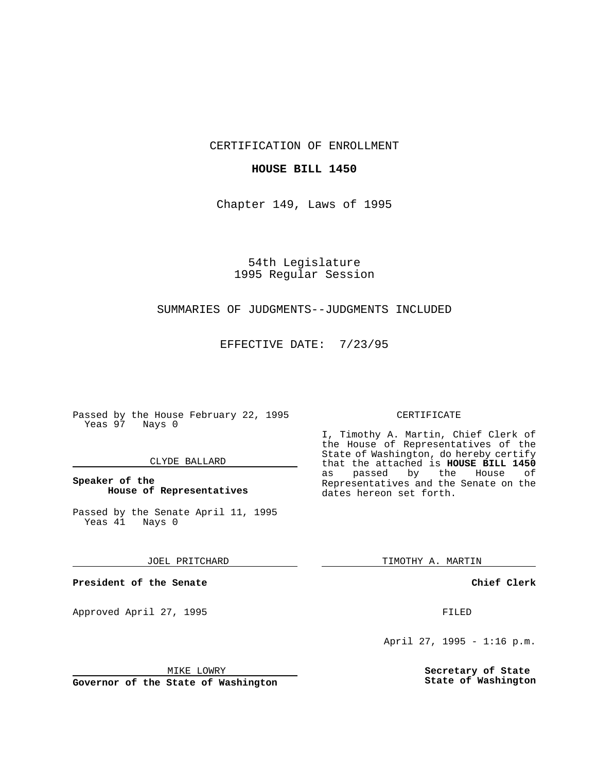CERTIFICATION OF ENROLLMENT

## **HOUSE BILL 1450**

Chapter 149, Laws of 1995

54th Legislature 1995 Regular Session

## SUMMARIES OF JUDGMENTS--JUDGMENTS INCLUDED

EFFECTIVE DATE: 7/23/95

Passed by the House February 22, 1995 Yeas 97 Nays 0

#### CLYDE BALLARD

## **Speaker of the House of Representatives**

Passed by the Senate April 11, 1995<br>Yeas 41 Nays 0 Yeas 41

#### JOEL PRITCHARD

**President of the Senate**

Approved April 27, 1995 FILED

#### MIKE LOWRY

**Governor of the State of Washington**

#### CERTIFICATE

I, Timothy A. Martin, Chief Clerk of the House of Representatives of the State of Washington, do hereby certify that the attached is **HOUSE BILL 1450** as passed by the Representatives and the Senate on the dates hereon set forth.

TIMOTHY A. MARTIN

### **Chief Clerk**

April 27, 1995 - 1:16 p.m.

**Secretary of State State of Washington**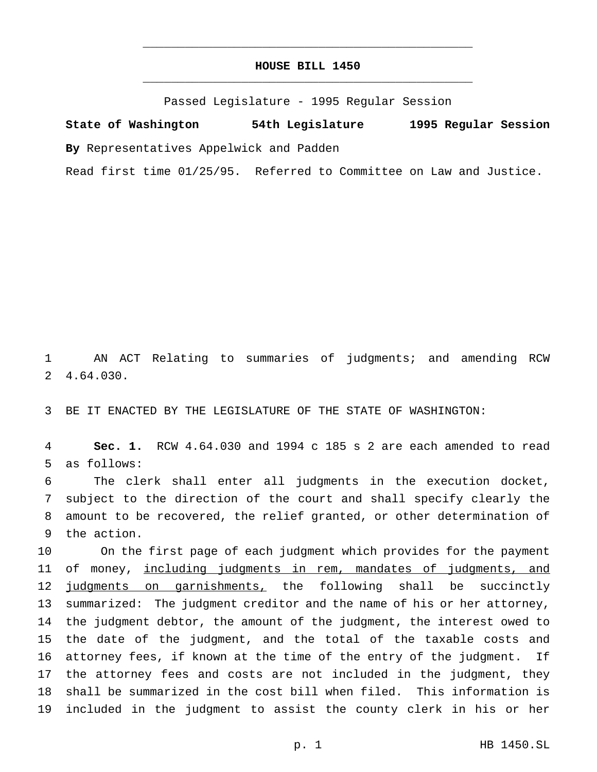# **HOUSE BILL 1450** \_\_\_\_\_\_\_\_\_\_\_\_\_\_\_\_\_\_\_\_\_\_\_\_\_\_\_\_\_\_\_\_\_\_\_\_\_\_\_\_\_\_\_\_\_\_\_

\_\_\_\_\_\_\_\_\_\_\_\_\_\_\_\_\_\_\_\_\_\_\_\_\_\_\_\_\_\_\_\_\_\_\_\_\_\_\_\_\_\_\_\_\_\_\_

Passed Legislature - 1995 Regular Session

**State of Washington 54th Legislature 1995 Regular Session By** Representatives Appelwick and Padden

Read first time 01/25/95. Referred to Committee on Law and Justice.

 AN ACT Relating to summaries of judgments; and amending RCW 4.64.030.

BE IT ENACTED BY THE LEGISLATURE OF THE STATE OF WASHINGTON:

 **Sec. 1.** RCW 4.64.030 and 1994 c 185 s 2 are each amended to read as follows:

 The clerk shall enter all judgments in the execution docket, subject to the direction of the court and shall specify clearly the amount to be recovered, the relief granted, or other determination of the action.

 On the first page of each judgment which provides for the payment 11 of money, including judgments in rem, mandates of judgments, and 12 judgments on garnishments, the following shall be succinctly summarized: The judgment creditor and the name of his or her attorney, the judgment debtor, the amount of the judgment, the interest owed to the date of the judgment, and the total of the taxable costs and attorney fees, if known at the time of the entry of the judgment. If the attorney fees and costs are not included in the judgment, they shall be summarized in the cost bill when filed. This information is included in the judgment to assist the county clerk in his or her